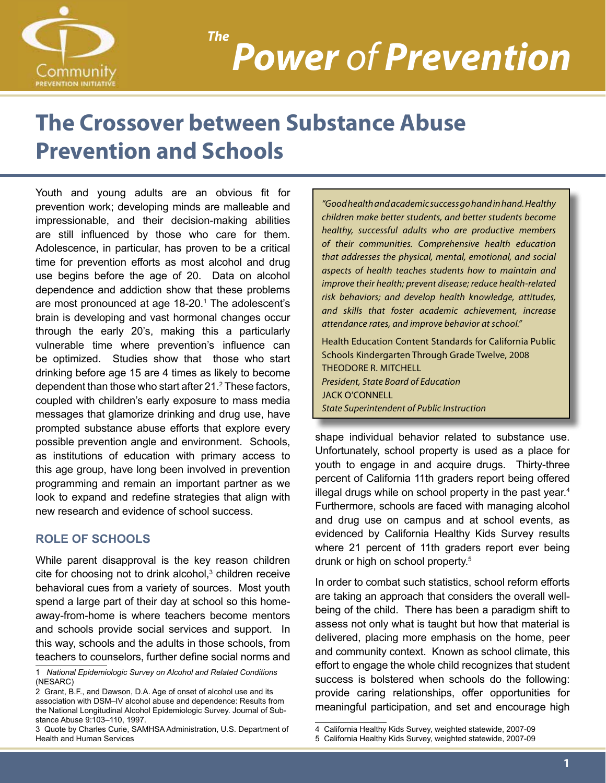

### *Power of Prevention The*

### **The Crossover between Substance Abuse Prevention and Schools**

Youth and young adults are an obvious fit for prevention work; developing minds are malleable and impressionable, and their decision-making abilities are still influenced by those who care for them. Adolescence, in particular, has proven to be a critical time for prevention efforts as most alcohol and drug use begins before the age of 20. Data on alcohol dependence and addiction show that these problems are most pronounced at age 18-20.<sup>1</sup> The adolescent's brain is developing and vast hormonal changes occur through the early 20's, making this a particularly vulnerable time where prevention's influence can be optimized. Studies show that those who start drinking before age 15 are 4 times as likely to become dependent than those who start after 21. $^2$  These factors, coupled with children's early exposure to mass media messages that glamorize drinking and drug use, have prompted substance abuse efforts that explore every possible prevention angle and environment. Schools, as institutions of education with primary access to this age group, have long been involved in prevention programming and remain an important partner as we look to expand and redefine strategies that align with new research and evidence of school success.

#### **Role of schools**

While parent disapproval is the key reason children cite for choosing not to drink alcohol,<sup>3</sup> children receive behavioral cues from a variety of sources. Most youth spend a large part of their day at school so this homeaway-from-home is where teachers become mentors and schools provide social services and support. In this way, schools and the adults in those schools, from teachers to counselors, further define social norms and

*"Good health and academic success go hand in hand. Healthy children make better students, and better students become healthy, successful adults who are productive members of their communities. Comprehensive health education that addresses the physical, mental, emotional, and social aspects of health teaches students how to maintain and improve their health; prevent disease; reduce health-related risk behaviors; and develop health knowledge, attitudes, and skills that foster academic achievement, increase attendance rates, and improve behavior at school."*

Health Education Content Standards for California Public Schools Kindergarten Through Grade Twelve, 2008 THEODORE R. MITCHELL *President, State Board of Education* JACK O'CONNELL *State Superintendent of Public Instruction*

shape individual behavior related to substance use. Unfortunately, school property is used as a place for youth to engage in and acquire drugs. Thirty-three percent of California 11th graders report being offered illegal drugs while on school property in the past year.<sup>4</sup> Furthermore, schools are faced with managing alcohol and drug use on campus and at school events, as evidenced by California Healthy Kids Survey results where 21 percent of 11th graders report ever being drunk or high on school property.<sup>5</sup>

In order to combat such statistics, school reform efforts are taking an approach that considers the overall wellbeing of the child. There has been a paradigm shift to assess not only what is taught but how that material is delivered, placing more emphasis on the home, peer and community context. Known as school climate, this effort to engage the whole child recognizes that student success is bolstered when schools do the following: provide caring relationships, offer opportunities for meaningful participation, and set and encourage high

<sup>1</sup> *National Epidemiologic Survey on Alcohol and Related Conditions* (NESARC)

<sup>2</sup> Grant, B.F., and Dawson, D.A. Age of onset of alcohol use and its association with DSM–IV alcohol abuse and dependence: Results from the National Longitudinal Alcohol Epidemiologic Survey. Journal of Substance Abuse 9:103–110, 1997.

<sup>3</sup> Quote by Charles Curie, SAMHSA Administration, U.S. Department of Health and Human Services

<sup>4</sup> California Healthy Kids Survey, weighted statewide, 2007-09

<sup>5</sup> California Healthy Kids Survey, weighted statewide, 2007-09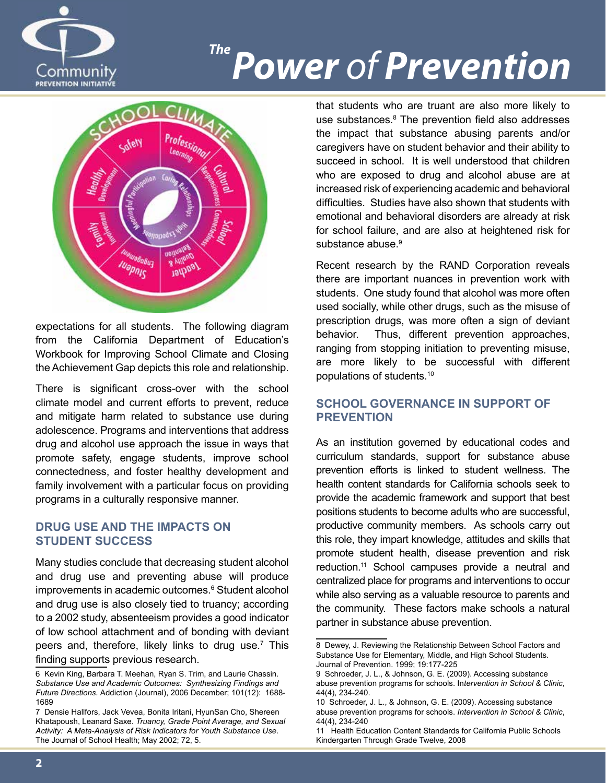

## **Power of Prevention**



expectations for all students. The following diagram from the California Department of Education's Workbook for Improving School Climate and Closing the Achievement Gap depicts this role and relationship.

There is significant cross-over with the school climate model and current efforts to prevent, reduce and mitigate harm related to substance use during adolescence. Programs and interventions that address drug and alcohol use approach the issue in ways that promote safety, engage students, improve school connectedness, and foster healthy development and family involvement with a particular focus on providing programs in a culturally responsive manner.

#### **Drug Use and the Impacts on Student Success**

Many studies conclude that decreasing student alcohol and drug use and preventing abuse will produce improvements in academic outcomes.<sup>6</sup> Student alcohol and drug use is also closely tied to truancy; according to a 2002 study, absenteeism provides a good indicator of low school attachment and of bonding with deviant peers and, therefore, likely links to drug use.<sup>7</sup> This finding supports previous research.

that students who are truant are also more likely to use substances.<sup>8</sup> The prevention field also addresses the impact that substance abusing parents and/or caregivers have on student behavior and their ability to succeed in school. It is well understood that children who are exposed to drug and alcohol abuse are at increased risk of experiencing academic and behavioral difficulties. Studies have also shown that students with emotional and behavioral disorders are already at risk for school failure, and are also at heightened risk for substance abuse.<sup>9</sup>

Recent research by the RAND Corporation reveals there are important nuances in prevention work with students. One study found that alcohol was more often used socially, while other drugs, such as the misuse of prescription drugs, was more often a sign of deviant behavior. Thus, different prevention approaches, ranging from stopping initiation to preventing misuse, are more likely to be successful with different populations of students.10

#### **School Governance in Support of Prevention**

As an institution governed by educational codes and curriculum standards, support for substance abuse prevention efforts is linked to student wellness. The health content standards for California schools seek to provide the academic framework and support that best positions students to become adults who are successful, productive community members. As schools carry out this role, they impart knowledge, attitudes and skills that promote student health, disease prevention and risk reduction.<sup>11</sup> School campuses provide a neutral and centralized place for programs and interventions to occur while also serving as a valuable resource to parents and the community. These factors make schools a natural partner in substance abuse prevention.

<sup>6</sup> Kevin King, Barbara T. Meehan, Ryan S. Trim, and Laurie Chassin. *Substance Use and Academic Outcomes: Synthesizing Findings and Future Directions.* Addiction (Journal), 2006 December; 101(12): 1688- 1689

<sup>7</sup> Densie Hallfors, Jack Vevea, Bonita Iritani, HyunSan Cho, Shereen Khatapoush, Leanard Saxe. *Truancy, Grade Point Average, and Sexual Activity: A Meta-Analysis of Risk Indicators for Youth Substance Use*. The Journal of School Health; May 2002; 72, 5.

<sup>8</sup> Dewey, J. Reviewing the Relationship Between School Factors and Substance Use for Elementary, Middle, and High School Students. Journal of Prevention. 1999; 19:177-225

<sup>9</sup> Schroeder, J. L., & Johnson, G. E. (2009). Accessing substance abuse prevention programs for schools. In*tervention in School & Clinic*, 44(4), 234-240.

<sup>10</sup> Schroeder, J. L., & Johnson, G. E. (2009). Accessing substance abuse prevention programs for schools. *Intervention in School & Clinic*, 44(4), 234-240

<sup>11</sup> Health Education Content Standards for California Public Schools Kindergarten Through Grade Twelve, 2008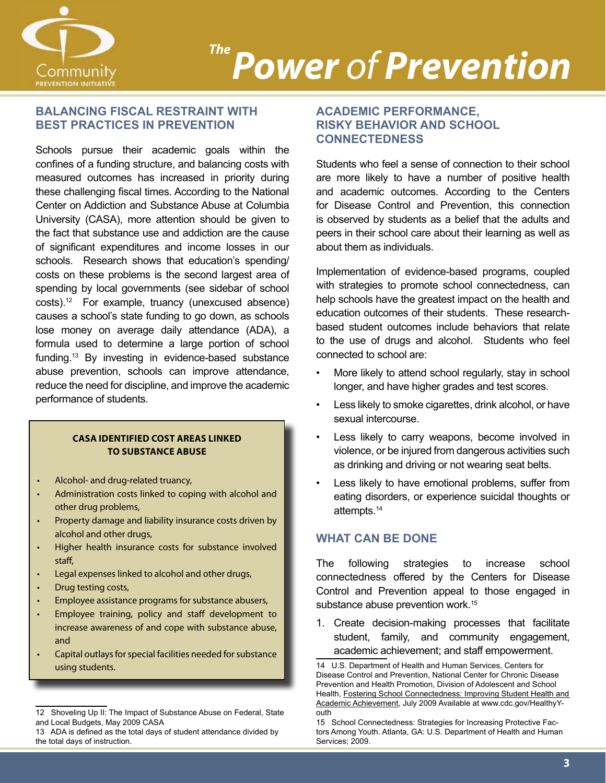

### **Power of Prevention**

#### **Balancing Fiscal Restraint with Best Practices in Prevention**

Schools pursue their academic goals within the confines of a funding structure, and balancing costs with measured outcomes has increased in priority during these challenging fiscal times. According to the National Center on Addiction and Substance Abuse at Columbia University (CASA), more attention should be given to the fact that substance use and addiction are the cause of significant expenditures and income losses in our schools. Research shows that education's spending/ costs on these problems is the second largest area of spending by local governments (see sidebar of school costs).12 For example, truancy (unexcused absence) causes a school's state funding to go down, as schools lose money on average daily attendance (ADA), a formula used to determine a large portion of school funding.<sup>13</sup> By investing in evidence-based substance abuse prevention, schools can improve attendance, reduce the need for discipline, and improve the academic performance of students.

#### **CASA identified cost areas linked to substance abuse**

- Alcohol- and drug-related truancy,
- Administration costs linked to coping with alcohol and other drug problems,
- Property damage and liability insurance costs driven by alcohol and other drugs,
- Higher health insurance costs for substance involved staff,
- Legal expenses linked to alcohol and other drugs,
- Drug testing costs,
- Employee assistance programs for substance abusers,
- Employee training, policy and staff development to increase awareness of and cope with substance abuse, and
- Capital outlays for special facilities needed for substance using students.

#### **Academic Performance, Risky Behavior and School Connectedness**

Students who feel a sense of connection to their school are more likely to have a number of positive health and academic outcomes. According to the Centers for Disease Control and Prevention, this connection is observed by students as a belief that the adults and peers in their school care about their learning as well as about them as individuals.

Implementation of evidence-based programs, coupled with strategies to promote school connectedness, can help schools have the greatest impact on the health and education outcomes of their students. These researchbased student outcomes include behaviors that relate to the use of drugs and alcohol. Students who feel connected to school are:

- More likely to attend school regularly, stay in school longer, and have higher grades and test scores.
- Less likely to smoke cigarettes, drink alcohol, or have sexual intercourse.
- Less likely to carry weapons, become involved in violence, or be injured from dangerous activities such as drinking and driving or not wearing seat belts.
- Less likely to have emotional problems, suffer from eating disorders, or experience suicidal thoughts or attempts.14

#### **What can be done**

The following strategies to increase school connectedness offered by the Centers for Disease Control and Prevention appeal to those engaged in substance abuse prevention work.<sup>15</sup>

1. Create decision-making processes that facilitate student, family, and community engagement, academic achievement; and staff empowerment.

<sup>12</sup> Shoveling Up II: The Impact of Substance Abuse on Federal, State and Local Budgets, May 2009 CASA

<sup>13</sup> ADA is defined as the total days of student attendance divided by the total days of instruction.

<sup>14</sup> U.S. Department of Health and Human Services, Centers for Disease Control and Prevention, National Center for Chronic Disease Prevention and Health Promotion, Division of Adolescent and School Health, Fostering School Connectedness: Improving Student Health and Academic Achievement, July 2009 Available at www.cdc.gov/HealthyYouth

<sup>15</sup> School Connectedness: Strategies for Increasing Protective Factors Among Youth. Atlanta, GA: U.S. Department of Health and Human Services; 2009.